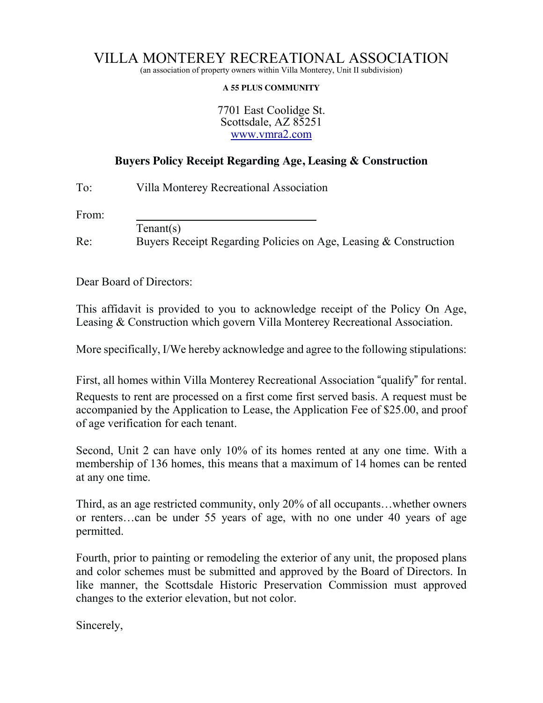## VILLA MONTEREY RECREATIONAL ASSOCIATION

(an association of property owners within Villa Monterey, Unit II subdivision)

## **A 55 PLUS COMMUNITY**

7701 East Coolidge St. Scottsdale, AZ 85251 www.vmra2.com

## **Buyers Policy Receipt Regarding Age, Leasing & Construction**

To: Villa Monterey Recreational Association

From:

Tenant(s)

Re: Buyers Receipt Regarding Policies on Age, Leasing & Construction

Dear Board of Directors:

This affidavit is provided to you to acknowledge receipt of the Policy On Age, Leasing & Construction which govern Villa Monterey Recreational Association.

More specifically, I/We hereby acknowledge and agree to the following stipulations:

First, all homes within Villa Monterey Recreational Association "qualify" for rental. Requests to rent are processed on a first come first served basis. A request must be accompanied by the Application to Lease, the Application Fee of \$25.00, and proof of age verification for each tenant.

Second, Unit 2 can have only 10% of its homes rented at any one time. With a membership of 136 homes, this means that a maximum of 14 homes can be rented at any one time.

Third, as an age restricted community, only 20% of all occupants…whether owners or renters…can be under 55 years of age, with no one under 40 years of age permitted.

Fourth, prior to painting or remodeling the exterior of any unit, the proposed plans and color schemes must be submitted and approved by the Board of Directors. In like manner, the Scottsdale Historic Preservation Commission must approved changes to the exterior elevation, but not color.

Sincerely,